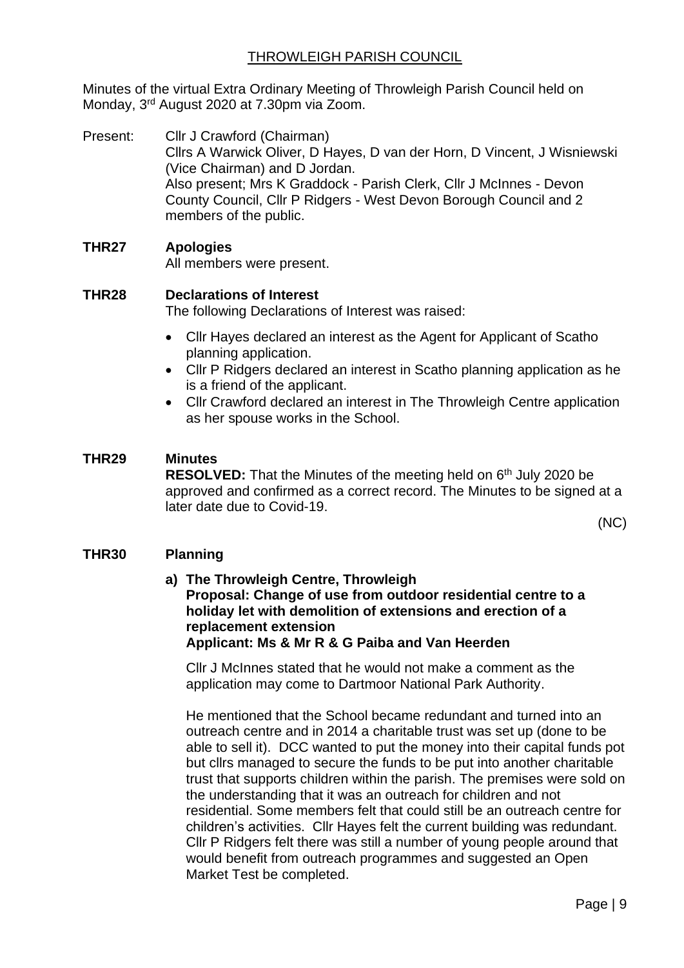Minutes of the virtual Extra Ordinary Meeting of Throwleigh Parish Council held on Monday, 3rd August 2020 at 7.30pm via Zoom.

Present: Cllr J Crawford (Chairman) Cllrs A Warwick Oliver, D Hayes, D van der Horn, D Vincent, J Wisniewski (Vice Chairman) and D Jordan. Also present; Mrs K Graddock - Parish Clerk, Cllr J McInnes - Devon County Council, Cllr P Ridgers - West Devon Borough Council and 2 members of the public.

## **THR27 Apologies**

All members were present.

## **THR28 Declarations of Interest**

The following Declarations of Interest was raised:

- Cllr Hayes declared an interest as the Agent for Applicant of Scatho planning application.
- Cllr P Ridgers declared an interest in Scatho planning application as he is a friend of the applicant.
- Cllr Crawford declared an interest in The Throwleigh Centre application as her spouse works in the School.

## **THR29 Minutes**

**RESOLVED:** That the Minutes of the meeting held on 6<sup>th</sup> July 2020 be approved and confirmed as a correct record. The Minutes to be signed at a later date due to Covid-19.

(NC)

## **THR30 Planning**

**a) The Throwleigh Centre, Throwleigh Proposal: Change of use from outdoor residential centre to a holiday let with demolition of extensions and erection of a replacement extension Applicant: Ms & Mr R & G Paiba and Van Heerden**

Cllr J McInnes stated that he would not make a comment as the application may come to Dartmoor National Park Authority.

He mentioned that the School became redundant and turned into an outreach centre and in 2014 a charitable trust was set up (done to be able to sell it). DCC wanted to put the money into their capital funds pot but cllrs managed to secure the funds to be put into another charitable trust that supports children within the parish. The premises were sold on the understanding that it was an outreach for children and not residential. Some members felt that could still be an outreach centre for children's activities. Cllr Hayes felt the current building was redundant. Cllr P Ridgers felt there was still a number of young people around that would benefit from outreach programmes and suggested an Open Market Test be completed.